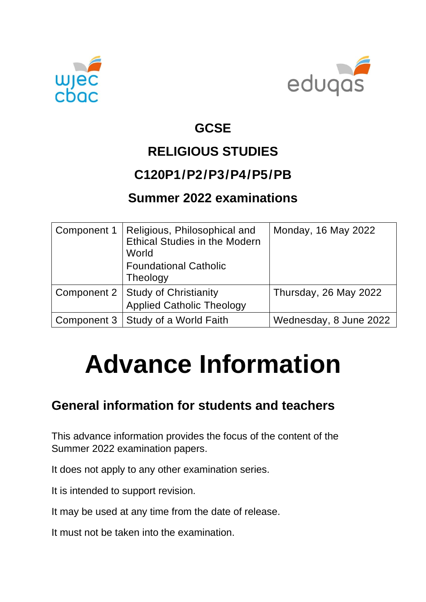



## **GCSE**

# **RELIGIOUS STUDIES**

#### **C120P1/P2/P3/P4/P5/PB**

#### **Summer 2022 examinations**

| Component 1 | Religious, Philosophical and<br><b>Ethical Studies in the Modern</b><br>World<br><b>Foundational Catholic</b><br>Theology | Monday, 16 May 2022    |
|-------------|---------------------------------------------------------------------------------------------------------------------------|------------------------|
|             | Component 2   Study of Christianity<br><b>Applied Catholic Theology</b>                                                   | Thursday, 26 May 2022  |
|             | Component 3   Study of a World Faith                                                                                      | Wednesday, 8 June 2022 |

# **Advance Information**

#### **General information for students and teachers**

This advance information provides the focus of the content of the Summer 2022 examination papers.

It does not apply to any other examination series.

It is intended to support revision.

It may be used at any time from the date of release.

It must not be taken into the examination.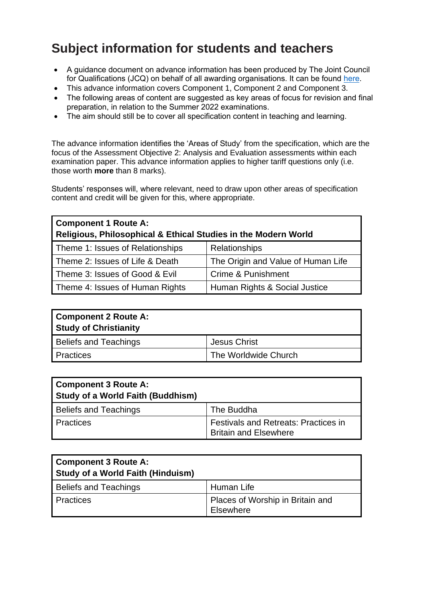## **Subject information for students and teachers**

- A guidance document on advance information has been produced by The Joint Council for Qualifications (JCQ) on behalf of all awarding organisations. It can be found [here.](https://www.jcq.org.uk/wp-content/uploads/2021/10/Advance-Information-for-General-Qualifications-2021-22.pdf)
- This advance information covers Component 1, Component 2 and Component 3.
- The following areas of content are suggested as key areas of focus for revision and final preparation, in relation to the Summer 2022 examinations.
- The aim should still be to cover all specification content in teaching and learning.

The advance information identifies the 'Areas of Study' from the specification, which are the focus of the Assessment Objective 2: Analysis and Evaluation assessments within each examination paper. This advance information applies to higher tariff questions only (i.e. those worth **more** than 8 marks).

Students' responses will, where relevant, need to draw upon other areas of specification content and credit will be given for this, where appropriate.

| <b>Component 1 Route A:</b><br>Religious, Philosophical & Ethical Studies in the Modern World |                                    |
|-----------------------------------------------------------------------------------------------|------------------------------------|
| Theme 1: Issues of Relationships                                                              | <b>Relationships</b>               |
| Theme 2: Issues of Life & Death                                                               | The Origin and Value of Human Life |
| Theme 3: Issues of Good & Evil                                                                | Crime & Punishment                 |
| Theme 4: Issues of Human Rights                                                               | Human Rights & Social Justice      |

| <b>Component 2 Route A:</b><br><b>Study of Christianity</b> |                      |
|-------------------------------------------------------------|----------------------|
| <b>Beliefs and Teachings</b>                                | <b>Jesus Christ</b>  |
| Practices                                                   | The Worldwide Church |

| <b>Component 3 Route A:</b><br><b>Study of a World Faith (Buddhism)</b> |                                                                             |
|-------------------------------------------------------------------------|-----------------------------------------------------------------------------|
| <b>Beliefs and Teachings</b>                                            | The Buddha                                                                  |
| <b>Practices</b>                                                        | <b>Festivals and Retreats: Practices in</b><br><b>Britain and Elsewhere</b> |

| <b>Component 3 Route A:</b><br>Study of a World Faith (Hinduism) |                                               |
|------------------------------------------------------------------|-----------------------------------------------|
| <b>Beliefs and Teachings</b>                                     | Human Life                                    |
| <b>Practices</b>                                                 | Places of Worship in Britain and<br>Elsewhere |